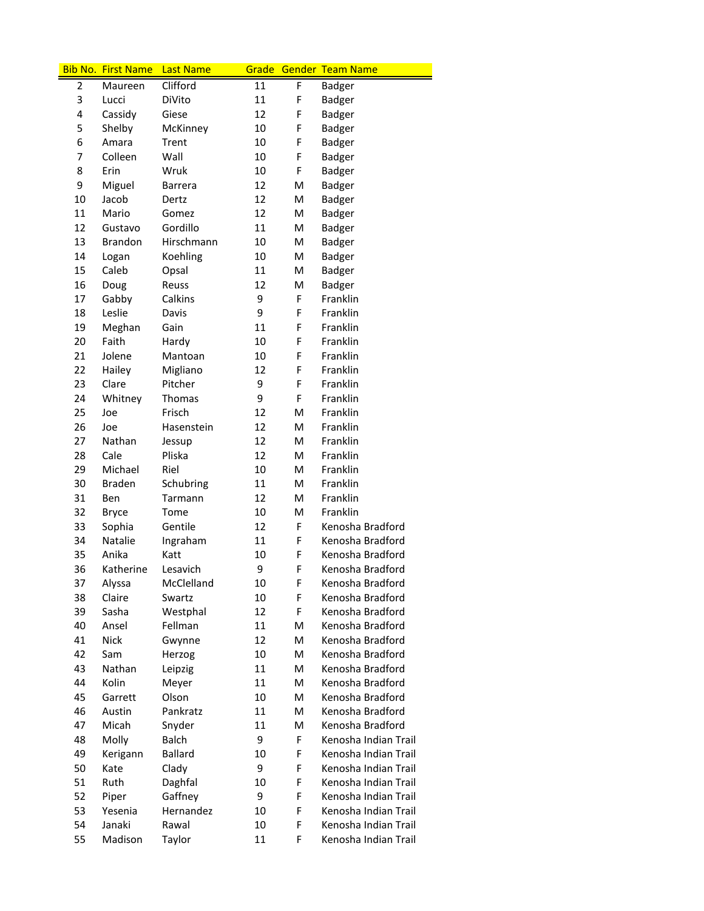|    | <b>Bib No. First Name</b> | <b>Last Name</b> | Grade |   | <b>Gender Team Name</b> |
|----|---------------------------|------------------|-------|---|-------------------------|
| 2  | Maureen                   | Clifford         | 11    | F | Badger                  |
| 3  | Lucci                     | DiVito           | 11    | F | Badger                  |
| 4  | Cassidy                   | Giese            | 12    | F | Badger                  |
| 5  | Shelby                    | McKinney         | 10    | F | Badger                  |
| 6  | Amara                     | Trent            | 10    | F | Badger                  |
| 7  | Colleen                   | Wall             | 10    | F | <b>Badger</b>           |
| 8  | Erin                      | Wruk             | 10    | F | <b>Badger</b>           |
| 9  | Miguel                    | <b>Barrera</b>   | 12    | M | <b>Badger</b>           |
| 10 | Jacob                     | Dertz            | 12    | м | <b>Badger</b>           |
| 11 | Mario                     | Gomez            | 12    | M | <b>Badger</b>           |
| 12 | Gustavo                   | Gordillo         | 11    | M | Badger                  |
| 13 | <b>Brandon</b>            | Hirschmann       | 10    | M | <b>Badger</b>           |
| 14 | Logan                     | Koehling         | 10    | M | <b>Badger</b>           |
| 15 | Caleb                     | Opsal            | 11    | M | <b>Badger</b>           |
| 16 | Doug                      | Reuss            | 12    | M | Badger                  |
| 17 | Gabby                     | Calkins          | 9     | F | Franklin                |
| 18 | Leslie                    | Davis            | 9     | F | Franklin                |
| 19 | Meghan                    | Gain             | 11    | F | Franklin                |
| 20 | Faith                     | Hardy            | 10    | F | Franklin                |
| 21 | Jolene                    | Mantoan          | 10    | F | Franklin                |
| 22 | Hailey                    | Migliano         | 12    | F | Franklin                |
| 23 | Clare                     | Pitcher          | 9     | F | Franklin                |
| 24 | Whitney                   | <b>Thomas</b>    | 9     | F | Franklin                |
| 25 | Joe                       | Frisch           | 12    | M | Franklin                |
| 26 | Joe                       | Hasenstein       | 12    | M | Franklin                |
| 27 | Nathan                    | Jessup           | 12    | M | Franklin                |
| 28 | Cale                      | Pliska           | 12    | M | Franklin                |
| 29 | Michael                   | Riel             | 10    | M | Franklin                |
| 30 | <b>Braden</b>             | Schubring        | 11    | M | Franklin                |
| 31 | Ben                       | Tarmann          | 12    | M | Franklin                |
| 32 | <b>Bryce</b>              | Tome             | 10    | M | Franklin                |
| 33 | Sophia                    | Gentile          | 12    | F | Kenosha Bradford        |
| 34 | <b>Natalie</b>            | Ingraham         | 11    | F | Kenosha Bradford        |
| 35 | Anika                     | Katt             | 10    | F | Kenosha Bradford        |
| 36 | Katherine                 | Lesavich         | 9     | F | Kenosha Bradford        |
| 37 | Alyssa                    | McClelland       | 10    | F | Kenosha Bradford        |
| 38 | Claire                    | Swartz           | 10    | F | Kenosha Bradford        |
| 39 | Sasha                     | Westphal         | 12    | F | Kenosha Bradford        |
| 40 | Ansel                     | Fellman          | 11    | M | Kenosha Bradford        |
| 41 | <b>Nick</b>               | Gwynne           | 12    | M | Kenosha Bradford        |
| 42 | Sam                       | Herzog           | 10    | M | Kenosha Bradford        |
| 43 | Nathan                    | Leipzig          | 11    | м | Kenosha Bradford        |
| 44 | Kolin                     | Meyer            | 11    | M | Kenosha Bradford        |
| 45 | Garrett                   | Olson            | 10    | M | Kenosha Bradford        |
| 46 | Austin                    | Pankratz         | 11    | M | Kenosha Bradford        |
| 47 | Micah                     | Snyder           | 11    | M | Kenosha Bradford        |
| 48 | Molly                     | <b>Balch</b>     | 9     | F | Kenosha Indian Trail    |
| 49 | Kerigann                  | <b>Ballard</b>   | 10    | F | Kenosha Indian Trail    |
| 50 | Kate                      | Clady            | 9     | F | Kenosha Indian Trail    |
| 51 | Ruth                      | Daghfal          | 10    | F | Kenosha Indian Trail    |
| 52 | Piper                     | Gaffney          | 9     | F | Kenosha Indian Trail    |
| 53 | Yesenia                   | Hernandez        | 10    | F | Kenosha Indian Trail    |
| 54 | Janaki                    | Rawal            | 10    | F | Kenosha Indian Trail    |
| 55 | Madison                   | Taylor           | 11    | F | Kenosha Indian Trail    |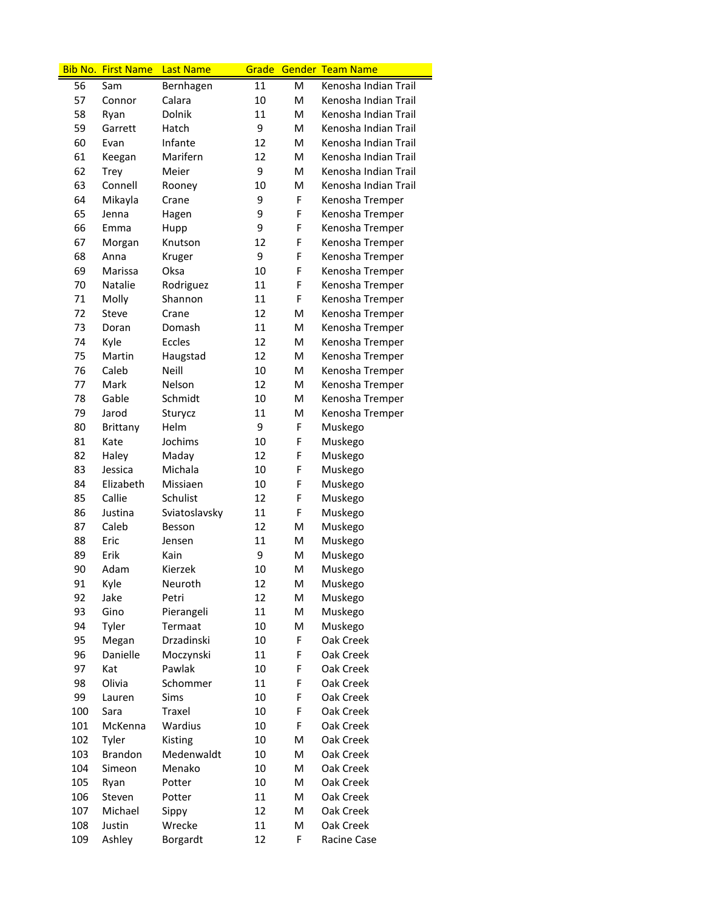|     | <b>Bib No. First Name</b> | <b>Last Name</b> | Grade |   | <b>Gender Team Name</b> |
|-----|---------------------------|------------------|-------|---|-------------------------|
| 56  | Sam                       | Bernhagen        | 11    | M | Kenosha Indian Trail    |
| 57  | Connor                    | Calara           | 10    | M | Kenosha Indian Trail    |
| 58  | Ryan                      | Dolnik           | 11    | M | Kenosha Indian Trail    |
| 59  | Garrett                   | Hatch            | 9     | M | Kenosha Indian Trail    |
| 60  | Evan                      | Infante          | 12    | M | Kenosha Indian Trail    |
| 61  | Keegan                    | Marifern         | 12    | M | Kenosha Indian Trail    |
| 62  | <b>Trey</b>               | Meier            | 9     | M | Kenosha Indian Trail    |
| 63  | Connell                   | Rooney           | 10    | M | Kenosha Indian Trail    |
| 64  | Mikayla                   | Crane            | 9     | F | Kenosha Tremper         |
| 65  | Jenna                     | Hagen            | 9     | F | Kenosha Tremper         |
| 66  | Emma                      | Hupp             | 9     | F | Kenosha Tremper         |
| 67  | Morgan                    | Knutson          | 12    | F | Kenosha Tremper         |
| 68  | Anna                      | Kruger           | 9     | F | Kenosha Tremper         |
| 69  | Marissa                   | Oksa             | 10    | F | Kenosha Tremper         |
| 70  | Natalie                   | Rodriguez        | 11    | F | Kenosha Tremper         |
| 71  | Molly                     | Shannon          | 11    | F | Kenosha Tremper         |
| 72  | <b>Steve</b>              | Crane            | 12    | M | Kenosha Tremper         |
| 73  | Doran                     | Domash           | 11    | M | Kenosha Tremper         |
| 74  | Kyle                      | Eccles           | 12    | M | Kenosha Tremper         |
| 75  | Martin                    | Haugstad         | 12    | M | Kenosha Tremper         |
| 76  | Caleb                     | <b>Neill</b>     | 10    | M | Kenosha Tremper         |
| 77  | Mark                      | Nelson           | 12    | M | Kenosha Tremper         |
| 78  | Gable                     | Schmidt          | 10    | M | Kenosha Tremper         |
| 79  | Jarod                     | Sturycz          | 11    | M | Kenosha Tremper         |
| 80  | Brittany                  | Helm             | 9     | F | Muskego                 |
| 81  | Kate                      | Jochims          | 10    | F | Muskego                 |
| 82  | Haley                     | Maday            | 12    | F | Muskego                 |
| 83  | Jessica                   | Michala          | 10    | F | Muskego                 |
| 84  | Elizabeth                 | Missiaen         | 10    | F | Muskego                 |
| 85  | Callie                    | Schulist         | 12    | F | Muskego                 |
| 86  | Justina                   | Sviatoslavsky    | 11    | F | Muskego                 |
| 87  | Caleb                     | Besson           | 12    | M | Muskego                 |
| 88  | Eric                      | Jensen           | 11    | M | Muskego                 |
| 89  | Erik                      | Kain             | 9     | M | Muskego                 |
| 90  | Adam                      | Kierzek          | 10    | M | Muskego                 |
| 91  | Kyle                      | Neuroth          | 12    | M | Muskego                 |
| 92  | Jake                      | Petri            | 12    | M | Muskego                 |
| 93  | Gino                      | Pierangeli       | 11    | M | Muskego                 |
| 94  | Tyler                     | Termaat          | 10    | M | Muskego                 |
| 95  | Megan                     | Drzadinski       | 10    | F | Oak Creek               |
| 96  | Danielle                  | Moczynski        | 11    | F | Oak Creek               |
| 97  | Kat                       | Pawlak           | 10    | F | Oak Creek               |
| 98  | Olivia                    | Schommer         | 11    | F | Oak Creek               |
| 99  | Lauren                    | Sims             | 10    | F | Oak Creek               |
| 100 | Sara                      | Traxel           | 10    | F | Oak Creek               |
| 101 | McKenna                   | Wardius          | 10    | F | Oak Creek               |
| 102 | Tyler                     | Kisting          | 10    | M | Oak Creek               |
| 103 | <b>Brandon</b>            | Medenwaldt       | 10    | M | Oak Creek               |
| 104 | Simeon                    | Menako           | 10    | M | Oak Creek               |
| 105 | Ryan                      | Potter           | 10    | Μ | Oak Creek               |
| 106 | Steven                    | Potter           | 11    | M | Oak Creek               |
| 107 | Michael                   | Sippy            | 12    | M | Oak Creek               |
| 108 | Justin                    | Wrecke           | 11    | M | Oak Creek               |
| 109 | Ashley                    | Borgardt         | 12    | F | Racine Case             |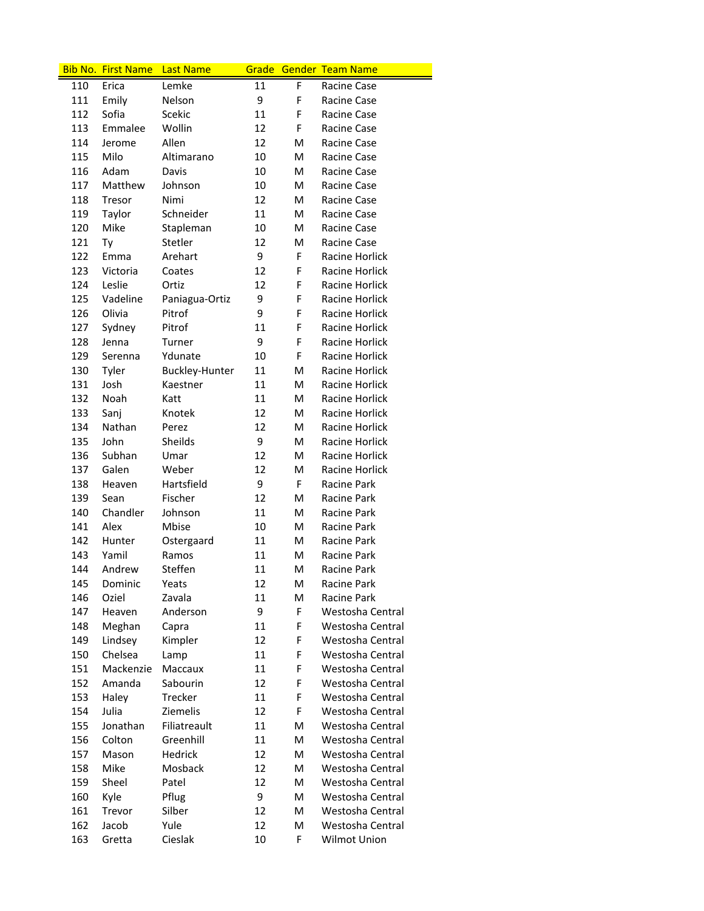|     | <b>Bib No. First Name</b> | <b>Last Name</b>      |    |   | Grade Gender Team Name |
|-----|---------------------------|-----------------------|----|---|------------------------|
| 110 | Erica                     | Lemke                 | 11 | F | Racine Case            |
| 111 | Emily                     | Nelson                | 9  | F | Racine Case            |
| 112 | Sofia                     | Scekic                | 11 | F | Racine Case            |
| 113 | Emmalee                   | Wollin                | 12 | F | Racine Case            |
| 114 | Jerome                    | Allen                 | 12 | м | Racine Case            |
| 115 | Milo                      | Altimarano            | 10 | м | Racine Case            |
| 116 | Adam                      | Davis                 | 10 | м | Racine Case            |
| 117 | Matthew                   | Johnson               | 10 | м | Racine Case            |
| 118 | Tresor                    | Nimi                  | 12 | м | Racine Case            |
| 119 | Taylor                    | Schneider             | 11 | м | Racine Case            |
| 120 | Mike                      | Stapleman             | 10 | M | Racine Case            |
| 121 | Ty                        | Stetler               | 12 | M | Racine Case            |
| 122 | Emma                      | Arehart               | 9  | F | Racine Horlick         |
| 123 | Victoria                  | Coates                | 12 | F | Racine Horlick         |
| 124 | Leslie                    | Ortiz                 | 12 | F | Racine Horlick         |
| 125 | Vadeline                  | Paniagua-Ortiz        | 9  | F | Racine Horlick         |
| 126 | Olivia                    | Pitrof                | 9  | F | Racine Horlick         |
| 127 | Sydney                    | Pitrof                | 11 | F | Racine Horlick         |
| 128 | Jenna                     | Turner                | 9  | F | Racine Horlick         |
| 129 | Serenna                   | Ydunate               | 10 | F | Racine Horlick         |
| 130 | Tyler                     | <b>Buckley-Hunter</b> | 11 | M | <b>Racine Horlick</b>  |
| 131 | Josh                      | Kaestner              | 11 | м | Racine Horlick         |
| 132 | Noah                      | Katt                  | 11 | м | Racine Horlick         |
| 133 | Sanj                      | Knotek                | 12 | м | Racine Horlick         |
| 134 | Nathan                    | Perez                 | 12 | м | Racine Horlick         |
| 135 | John                      | Sheilds               | 9  | м | Racine Horlick         |
| 136 | Subhan                    | Umar                  | 12 | м | Racine Horlick         |
| 137 | Galen                     | Weber                 | 12 | M | Racine Horlick         |
| 138 | Heaven                    | Hartsfield            | 9  | F | Racine Park            |
| 139 | Sean                      | Fischer               | 12 | M | Racine Park            |
| 140 | Chandler                  | Johnson               | 11 | M | Racine Park            |
| 141 | Alex                      | Mbise                 | 10 | M | Racine Park            |
| 142 | Hunter                    | Ostergaard            | 11 | M | Racine Park            |
| 143 | Yamil                     | Ramos                 | 11 | M | <b>Racine Park</b>     |
| 144 | Andrew                    | Steffen               | 11 | M | Racine Park            |
| 145 | Dominic                   | Yeats                 | 12 | M | Racine Park            |
| 146 | Oziel                     | Zavala                | 11 | Μ | <b>Racine Park</b>     |
| 147 | Heaven                    | Anderson              | 9  | F | Westosha Central       |
| 148 | Meghan                    | Capra                 | 11 | F | Westosha Central       |
| 149 | Lindsey                   | Kimpler               | 12 | F | Westosha Central       |
| 150 | Chelsea                   | Lamp                  | 11 | F | Westosha Central       |
| 151 | Mackenzie                 | Maccaux               | 11 | F | Westosha Central       |
| 152 | Amanda                    | Sabourin              | 12 | F | Westosha Central       |
| 153 | Haley                     | Trecker               | 11 | F | Westosha Central       |
| 154 | Julia                     | <b>Ziemelis</b>       | 12 | F | Westosha Central       |
| 155 | Jonathan                  | Filiatreault          | 11 | M | Westosha Central       |
| 156 | Colton                    | Greenhill             | 11 | M | Westosha Central       |
| 157 | Mason                     | Hedrick               | 12 | M | Westosha Central       |
| 158 | Mike                      | Mosback               | 12 | M | Westosha Central       |
| 159 | Sheel                     | Patel                 | 12 | M | Westosha Central       |
| 160 | Kyle                      | Pflug                 | 9  | M | Westosha Central       |
| 161 | Trevor                    | Silber                | 12 | M | Westosha Central       |
| 162 | Jacob                     | Yule                  | 12 | M | Westosha Central       |
| 163 | Gretta                    | Cieslak               | 10 | F | Wilmot Union           |